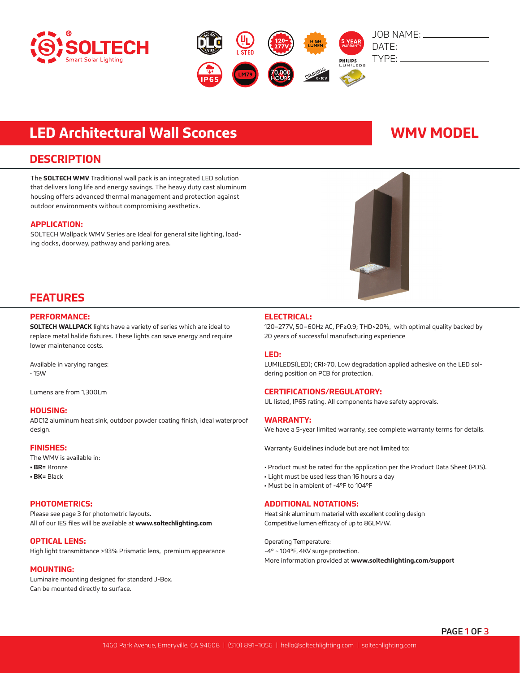



# **LED Architectural Wall Sconces WMW MODEL**

### **DESCRIPTION**

The **SOLTECH WMV** Traditional wall pack is an integrated LED solution that delivers long life and energy savings. The heavy duty cast aluminum housing offers advanced thermal management and protection against outdoor environments without compromising aesthetics.

### **APPLICATION:**

SOLTECH Wallpack WMV Series are Ideal for general site lighting, loading docks, doorway, pathway and parking area.



## **FEATURES**

### **PERFORMANCE:**

**SOLTECH WALLPACK** lights have a variety of series which are ideal to replace metal halide fixtures. These lights can save energy and require lower maintenance costs.

Available in varying ranges: • 15W

Lumens are from 1,300Lm

#### **HOUSING:**

ADC12 aluminum heat sink, outdoor powder coating finish, ideal waterproof design.

#### **FINISHES:**

The WMV is available in:

- **BR=** Bronze
- **BK=** Black

#### **PHOTOMETRICS:**

Please see page 3 for photometric layouts. All of our IES files will be available at **www.soltechlighting.com**

### **OPTICAL LENS:**

High light transmittance >93% Prismatic lens, premium appearance

#### **MOUNTING:**

Luminaire mounting designed for standard J-Box. Can be mounted directly to surface.

### **ELECTRICAL:**

120–277V, 50–60Hz AC, PF≥0.9; THD<20%, with optimal quality backed by 20 years of successful manufacturing experience

#### **LED:**

LUMILEDS(LED); CRI>70, Low degradation applied adhesive on the LED soldering position on PCB for protection.

### **CERTIFICATIONS/REGULATORY:**

UL listed, IP65 rating. All components have safety approvals.

#### **WARRANTY:**

We have a 5-year limited warranty, see complete warranty terms for details.

Warranty Guidelines include but are not limited to:

- Product must be rated for the application per the Product Data Sheet (PDS).
- Light must be used less than 16 hours a day
- Must be in ambient of -4°F to 104°F

### **ADDITIONAL NOTATIONS:**

Heat sink aluminum material with excellent cooling design Competitive lumen efficacy of up to 86LM/W.

Operating Temperature: -4º ~ 104ºF, 4KV surge protection. More information provided at **www.soltechlighting.com/support**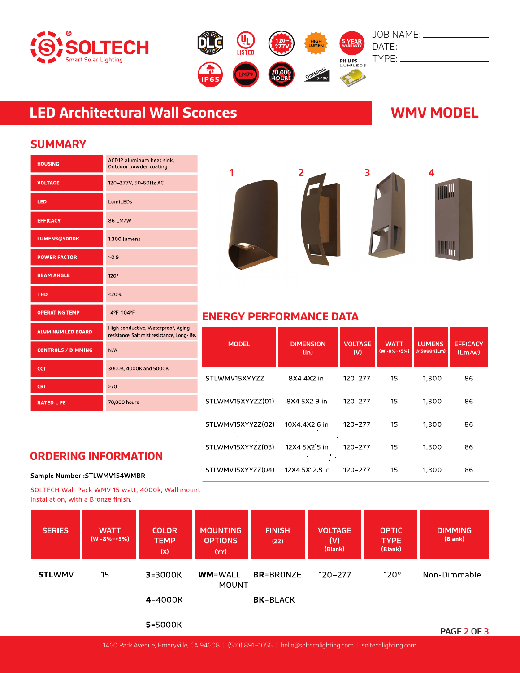



# **LED Architectural Wall Sconces WMV MODEL**

### **SUMMARY**

| <b>HOUSING</b>            | ACD12 aluminum heat sink.<br>Outdoor powder coating.                               |
|---------------------------|------------------------------------------------------------------------------------|
| <b>VOLTAGE</b>            | 120-277V, 50-60Hz AC                                                               |
| LED                       | LumiLEDs                                                                           |
| <b>EFFICACY</b>           | 86 LM/W                                                                            |
| <b>LUMENS@5000K</b>       | 1,300 lumens                                                                       |
| <b>POWER FACTOR</b>       | >0.9                                                                               |
| <b>BEAM ANGLE</b>         | $120^\circ$                                                                        |
| <b>THD</b>                | < 20%                                                                              |
| <b>OPERATING TEMP</b>     | -4°F-104°F                                                                         |
| <b>ALUMINUM LED BOARD</b> | High conductive, Waterproof, Aging<br>resistance, Salt mist resistance, Long-life. |
| <b>CONTROLS / DIMMING</b> | N/A                                                                                |
| <b>CCT</b>                | 3000K, 4000K and 5000K                                                             |
| <b>CRI</b>                | >70                                                                                |
| <b>RATED LIFE</b>         | 70,000 hours                                                                       |



## **ENERGY PERFORMANCE DATA**

| <b>MODEL</b>      | <b>DIMENSION</b><br>(in) | <b>VOLTAGE</b><br>(V) | <b>WATT</b><br>$(W - 8\% - +5\%)$ | <b>LUMENS</b><br>@5000K(Lm) | <b>EFFICACY</b><br>(Lm/w) |
|-------------------|--------------------------|-----------------------|-----------------------------------|-----------------------------|---------------------------|
| STLWMV15XYYZZ     | 8X4 4X2 in               | 120-277               | 15                                | 1.300                       | 86                        |
| STLWMV15XYYZZ(01) | 8X4 5X2 9 in             | 120-277               | 15                                | 1.300                       | 86                        |
| STLWMV15XYYZZ(02) | 10X4 4X2 6 in            | 120-277               | 15                                | 1,300                       | 86                        |
| STLWMV15XYYZZ(03) | 12X4 5X2 5 in            | 120-277               | 15                                | 1,300                       | 86                        |
| STLWMV15XYYZZ(04) | 12X4 5X12 5 in           | 120-277               | 15                                | 1.300                       | 86                        |

### **ORDERING INFORMATION**

Sample Number : STLWMV154WMBR

SOLTECH Wall Pack WMV 15 watt, 4000k, Wall mount installation, with a Bronze finish.

| <b>SERIES</b> | <b>WATT</b><br>$(W - 8\% - +5\%)$ | <b>COLOR</b><br><b>TEMP</b><br>(x) | <b>MOUNTING</b><br><b>OPTIONS</b><br>(YY) | <b>FINISH</b><br>(ZZ) | <b>VOLTAGE</b><br>(V)<br>(Blank) | <b>OPTIC</b><br><b>TYPE</b><br>(Blank) | <b>DIMMING</b><br>(Blank) |
|---------------|-----------------------------------|------------------------------------|-------------------------------------------|-----------------------|----------------------------------|----------------------------------------|---------------------------|
| <b>STLWMV</b> | 15                                | $3 = 3000K$                        | <b>WM</b> =WALL<br>MOUNT                  | <b>BR</b> =BRONZE     | $120 - 277$                      | $120^\circ$                            | Non-Dimmable              |
|               |                                   | 4=4000K                            |                                           | <b>BK</b> =BLACK      |                                  |                                        |                           |

5=5000K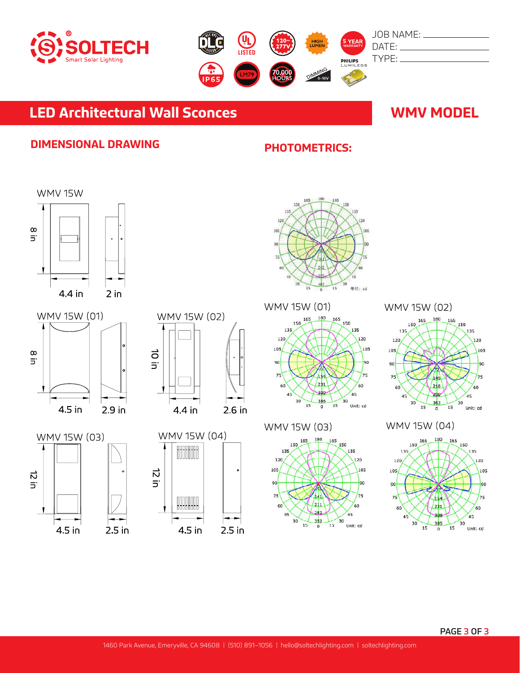

# **LED Architectural Wall Sconces WMV MODEL**

## **DIMENSIONAL DRAWING PHOTOMETRICS:**





WMV 15W (02) lo in 4.4 in  $2.6$  in

WMV 15W (03) 12 in

4.5 in

 $2.5$  in





WMV 15W (01)



WMV 15W (03)



WMV 15W (02) 150 150 135 135 120 120 105 105 90 75  $60$  $60$ 45 30 363 30  $\overline{15}$  $15$ Unit: cd